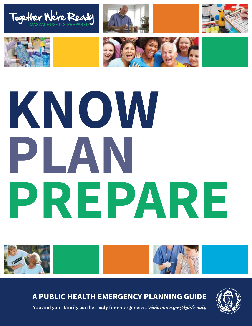









# **KNOW PLAN PREPARE**



**A Public Health Emergency Planning Guide**



**You and your family can be ready for emergencies.** *Visit mass.gov/dph/ready*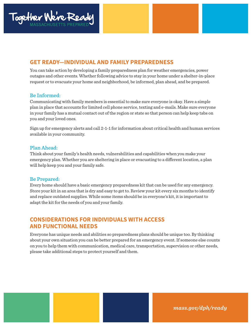

# **Get Ready—Individual and Family Preparedness**

You can take action by developing a family preparedness plan for weather emergencies, power outages and other events. Whether following advice to stay in your home under a shelter-in-place request or to evacuate your home and neighborhood, be informed, plan ahead, and be prepared.

### Be Informed:

Communicating with family members is essential to make sure everyone is okay. Have a simple plan in place that accounts for limited cell phone service, texting and e-mails. Make sure everyone in your family has a mutual contact out of the region or state so that person can help keep tabs on you and your loved ones.

Sign up for emergency alerts and call 2-1-1 for information about critical health and human services available in your community.

### Plan Ahead:

Think about your family's health needs, vulnerabilities and capabilities when you make your emergency plan. Whether you are sheltering in place or evacuating to a different location, a plan will help keep you and your family safe.

### Be Prepared:

Every home should have a basic emergency preparedness kit that can be used for any emergency. Store your kit in an area that is dry and easy to get to. Review your kit every six months to identify and replace outdated supplies. While some items should be in everyone's kit, it is important to adapt the kit for the needs of you and your family.

### **Considerations for Individuals with Access and Functional Needs**

Everyone has unique needs and abilities so preparedness plans should be unique too. By thinking about your own situation you can be better prepared for an emergency event. If someone else counts on you to help them with communication, medical care, transportation, supervision or other needs, please take additional steps to protect yourself and them.

*mass.gov/dph/ready*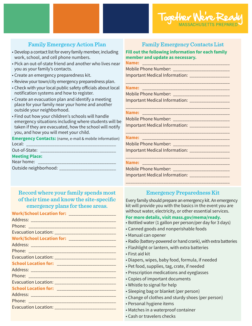# Family Emergency Action Plan

- Develop a contact list for every family member, including work, school, and cell phone numbers.
- Pick an out-of-state friend and another who lives near you as your family's contacts.
- Create an emergency preparedness kit.
- Review your town/city emergency preparedness plan.
- Check with your local public safety officials about local notification systems and how to register.
- Create an evacuation plan and identify a meeting place for your family near your home and another outside your neighborhood.
- Find out how your children's schools will handle emergency situations including where students will be taken if they are evacuated, how the school will notify you, and how you will meet your child.

**Emergency Contacts:** (name, e-mail & mobile information) Local: \_\_\_\_\_\_\_\_\_\_\_\_\_\_\_\_\_\_\_\_\_\_\_\_\_\_\_\_\_\_\_\_\_\_\_\_\_\_

Out-of-State: \_\_\_\_\_\_\_\_\_\_\_\_\_\_\_\_\_\_\_\_\_\_\_\_\_\_\_\_\_\_\_\_

### **Meeting Place:**

Near home: \_\_\_\_\_\_\_\_\_\_\_\_\_\_\_\_\_\_\_\_\_\_\_\_\_\_\_\_\_\_\_\_\_

Outside neighborhood: \_\_\_\_\_\_\_\_\_\_\_\_\_\_\_\_\_\_\_\_\_\_\_\_

# Record where your family spends most of their time and know the site-specific emergency plans for these areas.

| Work/School Location for: _____________________ |
|-------------------------------------------------|
|                                                 |
|                                                 |
|                                                 |
|                                                 |
|                                                 |
|                                                 |
|                                                 |
|                                                 |
|                                                 |
|                                                 |
|                                                 |
|                                                 |
|                                                 |

# Family Emergency Contacts List

**Fill out the following information for each family member and update as necessary. Name:** \_\_\_\_\_\_\_\_\_\_\_\_\_\_\_\_\_\_\_\_\_\_\_\_\_\_\_\_\_\_\_\_\_\_\_\_\_

Mobile Phone Number: \_\_\_\_\_\_\_\_\_\_\_\_\_\_\_\_\_\_\_\_\_\_\_\_ Important Medical Information: \_\_\_\_\_\_\_\_\_\_\_\_\_\_\_\_\_

\_\_\_\_\_\_\_\_\_\_\_\_\_\_\_\_\_\_\_\_\_\_\_\_\_\_\_\_\_\_\_\_\_\_\_\_\_\_\_\_\_\_\_\_

\_\_\_\_\_\_\_\_\_\_\_\_\_\_\_\_\_\_\_\_\_\_\_\_\_\_\_\_\_\_\_\_\_\_\_\_\_\_\_\_\_\_\_\_

**Name:**  $\blacksquare$ 

Mobile Phone Number: \_\_\_\_\_\_\_\_\_\_\_\_\_\_\_\_\_\_\_\_\_\_\_\_ Important Medical Information: \_\_\_\_\_\_\_\_\_\_\_\_\_\_\_\_\_

### **Name:** \_\_\_\_\_\_\_\_\_\_\_\_\_\_\_\_\_\_\_\_\_\_\_\_\_\_\_\_\_\_\_\_\_\_\_\_\_

Mobile Phone Number: \_\_\_\_\_\_\_\_\_\_\_\_\_\_\_\_\_\_\_\_\_\_\_\_ Important Medical Information: \_\_\_\_\_\_\_\_\_\_\_\_\_\_\_\_\_

### \_\_\_\_\_\_\_\_\_\_\_\_\_\_\_\_\_\_\_\_\_\_\_\_\_\_\_\_\_\_\_\_\_\_\_\_\_\_\_\_\_\_\_\_ **Name:** \_\_\_\_\_\_\_\_\_\_\_\_\_\_\_\_\_\_\_\_\_\_\_\_\_\_\_\_\_\_\_\_\_\_\_\_\_

Mobile Phone Number: \_\_\_\_\_\_\_\_\_\_\_\_\_\_\_\_\_\_\_\_\_\_\_\_ Important Medical Information: \_\_\_\_\_\_\_\_\_\_\_\_\_\_\_\_\_

\_\_\_\_\_\_\_\_\_\_\_\_\_\_\_\_\_\_\_\_\_\_\_\_\_\_\_\_\_\_\_\_\_\_\_\_\_\_\_\_\_\_\_\_ **Name:**  $\blacksquare$ 

Mobile Phone Number: \_\_\_\_\_\_\_\_\_\_\_\_\_\_\_\_\_\_\_\_\_\_\_\_ Important Medical Information: \_\_\_\_\_\_\_\_\_\_\_\_\_\_\_\_\_

# Emergency Preparedness Kit

\_\_\_\_\_\_\_\_\_\_\_\_\_\_\_\_\_\_\_\_\_\_\_\_\_\_\_\_\_\_\_\_\_\_\_\_\_\_\_\_\_\_\_\_

Every family should prepare an emergency kit. An emergency kit will provide you with the basics in the event you are without water, electricity, or other essential services.

### **For more details, visit mass.gov/mema/ready.**

- Bottled water (1 gallon per person/per day for 3 days)
- Canned goods and nonperishable foods
- Manual can opener
- Radio (battery-powered or hand crank), with extra batteries
- Flashlight or lantern, with extra batteries
- First aid kit
- Diapers, wipes, baby food, formula, if needed
- Pet food, supplies, tag, crate, if needed
- Prescription medications and eyeglasses
- Copies of important documents
- Whistle to signal for help
- Sleeping bag or blanket (per person)
- Change of clothes and sturdy shoes (per person)
- Personal hygiene items
- Matches in a waterproof container
- Cash or travelers checks